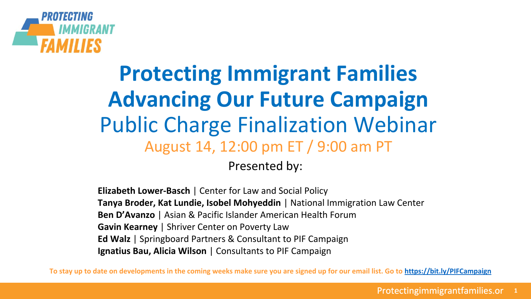

### **Protecting Immigrant Families Advancing Our Future Campaign** Public Charge Finalization Webinar August 14, 12:00 pm ET / 9:00 am PT

Presented by:

**Elizabeth Lower-Basch** | Center for Law and Social Policy **Tanya Broder, Kat Lundie, Isobel Mohyeddin** | National Immigration Law Center **Ben D'Avanzo** | Asian & Pacific Islander American Health Forum **Gavin Kearney** | Shriver Center on Poverty Law **Ed Walz** | Springboard Partners & Consultant to PIF Campaign **Ignatius Bau, Alicia Wilson** | Consultants to PIF Campaign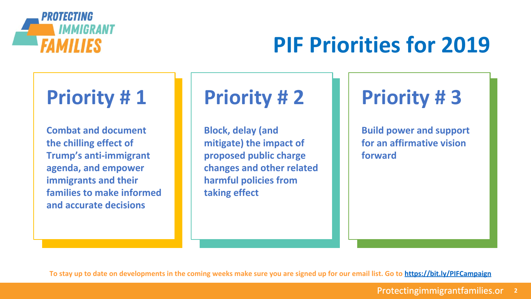

## **PIF Priorities for 2019**

### **Priority # 1**

**Combat and document the chilling effect of Trump's anti-immigrant agenda, and empower immigrants and their families to make informed and accurate decisions**

### **Priority # 2**

**Block, delay (and mitigate) the impact of proposed public charge changes and other related harmful policies from taking effect**

**Priority # 3**

**Build power and support for an affirmative vision forward**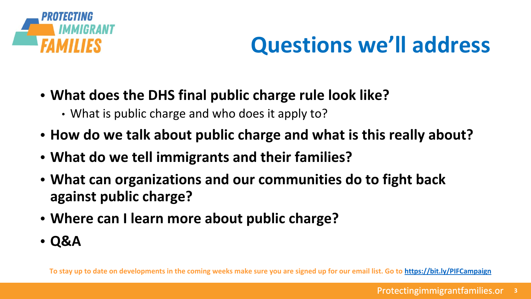

## **Questions we'll address**

- **• What does the DHS final public charge rule look like?**
	- What is public charge and who does it apply to?
- **• How do we talk about public charge and what is this really about?**
- **• What do we tell immigrants and their families?**
- **• What can organizations and our communities do to fight back against public charge?**
- **• Where can I learn more about public charge?**
- **• Q&A**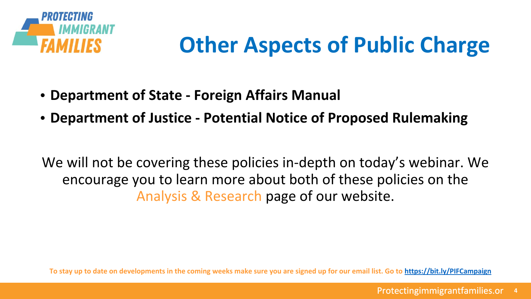

## **Other Aspects of Public Charge**

- **• Department of State Foreign Affairs Manual**
- **• Department of Justice Potential Notice of Proposed Rulemaking**

We will not be covering these policies in-depth on today's webinar. We encourage you to learn more about both of these policies on the Analysis & Research page of our website.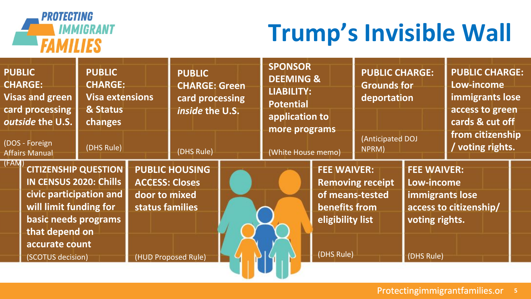

## **Trump's Invisible Wall**

| <b>PUBLIC</b><br><b>PUBLIC</b><br><b>CHARGE:</b><br><b>CHARGE:</b><br><b>Visas and green</b><br>card processing<br>& Status<br>outside the U.S.<br>changes<br>(DOS - Foreign<br>(DHS Rule)<br><b>Affairs Manual</b> | <b>Visa extensions</b> | <b>PUBLIC</b><br><b>CHARGE: Green</b><br>card processing<br>inside the U.S.<br>(DHS Rule) | <b>SPONSOR</b><br><b>DEEMING &amp;</b><br><b>LIABILITY:</b><br><b>Potential</b><br>application to<br>more programs<br>(White House memo) |                                                                       | <b>PUBLIC CHARGE:</b><br><b>Grounds for</b><br>deportation<br>(Anticipated DOJ<br>NPRM) |                                                                                     | <b>PUBLIC CHARGE:</b><br>Low-income<br>immigrants lose<br>access to green<br>cards & cut off<br>from citizenship<br>/ voting rights. |  |
|---------------------------------------------------------------------------------------------------------------------------------------------------------------------------------------------------------------------|------------------------|-------------------------------------------------------------------------------------------|------------------------------------------------------------------------------------------------------------------------------------------|-----------------------------------------------------------------------|-----------------------------------------------------------------------------------------|-------------------------------------------------------------------------------------|--------------------------------------------------------------------------------------------------------------------------------------|--|
| (FAM)<br><b>CITIZENSHIP QUESTION</b><br><b>IN CENSUS 2020: Chills</b><br>civic participation and<br>will limit funding for<br>basic needs programs<br>that depend on<br>accurate count<br>(SCOTUS decision)         | door to mixed          | <b>PUBLIC HOUSING</b><br><b>ACCESS: Closes</b><br>status families<br>(HUD Proposed Rule)  |                                                                                                                                          | <b>FEE WAIVER:</b><br>benefits from<br>eligibility list<br>(DHS Rule) | <b>Removing receipt</b><br>of means-tested                                              | <b>FEE WAIVER:</b><br>Low-income<br>immigrants lose<br>voting rights.<br>(DHS Rule) | access to citizenship/                                                                                                               |  |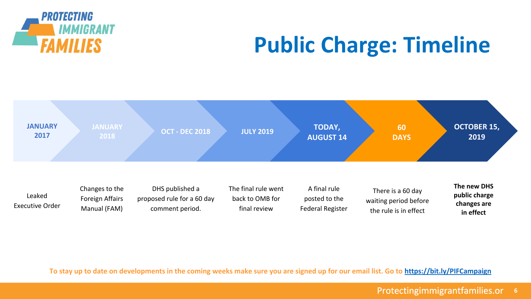

## **Public Charge: Timeline**

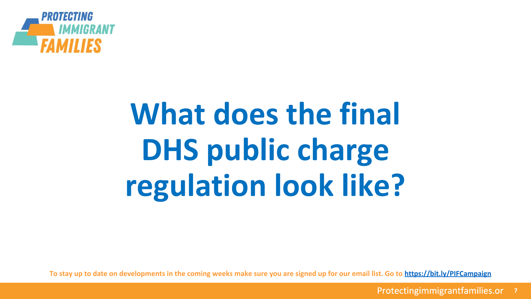

# **What does the final DHS public charge regulation look like?**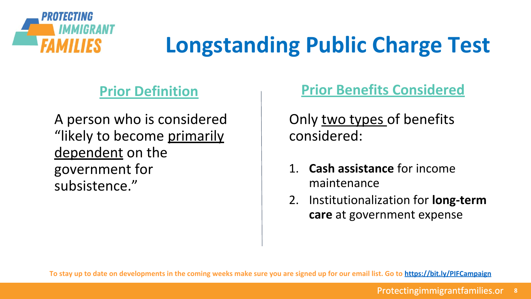

## **Longstanding Public Charge Test**

### **Prior Definition**

A person who is considered "likely to become primarily dependent on the government for subsistence."

### **Prior Benefits Considered**

Only two types of benefits considered:

- **Cash assistance** for income maintenance
- 2. Institutionalization for **long-term care** at government expense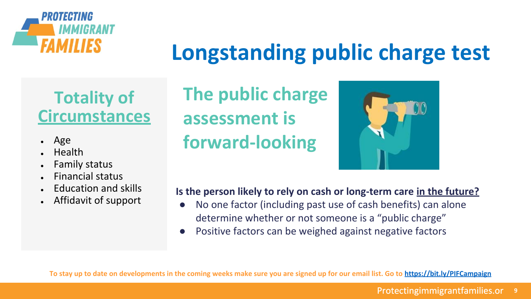

### **Longstanding public charge test**

### **Totality of Circumstances**

- Age
- **Health**
- **Family status**
- **Financial status**
- **Education and skills**
- Affidavit of support

**The public charge assessment is forward-looking**



#### **Is the person likely to rely on cash or long-term care in the future?**

- No one factor (including past use of cash benefits) can alone determine whether or not someone is a "public charge"
- Positive factors can be weighed against negative factors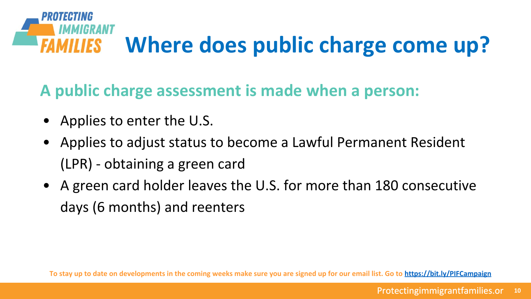

**A public charge assessment is made when a person:**

- Applies to enter the U.S.
- Applies to adjust status to become a Lawful Permanent Resident (LPR) - obtaining a green card
- A green card holder leaves the U.S. for more than 180 consecutive days (6 months) and reenters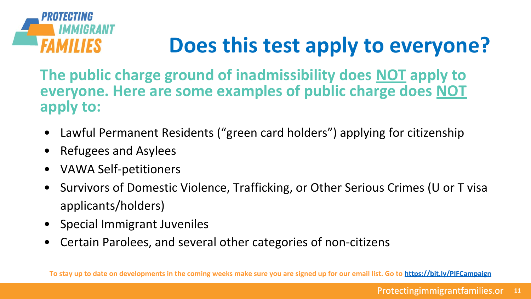

## **Does this test apply to everyone?**

**The public charge ground of inadmissibility does NOT apply to everyone. Here are some examples of public charge does NOT apply to:**

- Lawful Permanent Residents ("green card holders") applying for citizenship
- Refugees and Asylees
- VAWA Self-petitioners
- Survivors of Domestic Violence, Trafficking, or Other Serious Crimes (U or T visa applicants/holders)
- Special Immigrant Juveniles
- Certain Parolees, and several other categories of non-citizens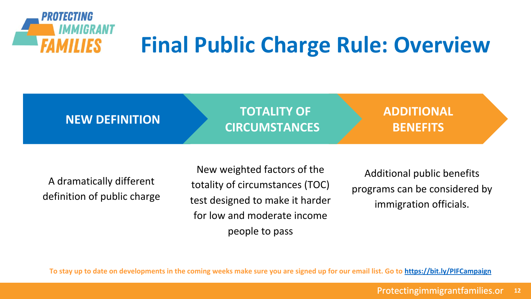

## **Final Public Charge Rule: Overview**



A dramatically different definition of public charge

New weighted factors of the totality of circumstances (TOC) test designed to make it harder for low and moderate income people to pass

Additional public benefits programs can be considered by immigration officials.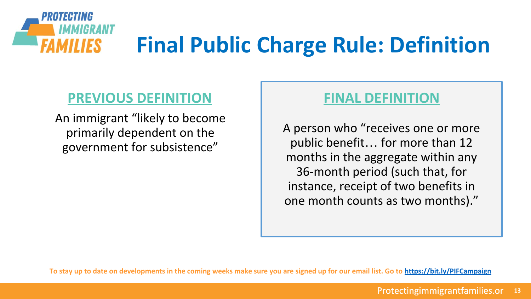

### **PREVIOUS DEFINITION**

An immigrant "likely to become primarily dependent on the government for subsistence"

### **FINAL DEFINITION**

A person who "receives one or more public benefit… for more than 12 months in the aggregate within any 36-month period (such that, for instance, receipt of two benefits in one month counts as two months)."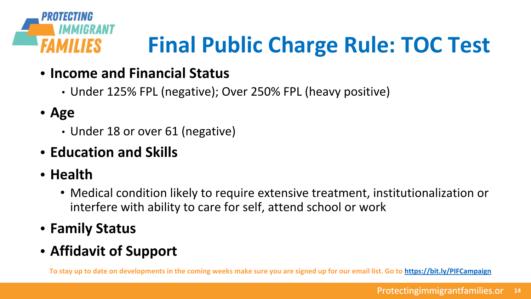

## **Final Public Charge Rule: TOC Test**

- **• Income and Financial Status**
	- Under 125% FPL (negative); Over 250% FPL (heavy positive)
- **• Age**
	- Under 18 or over 61 (negative)
- **• Education and Skills**
- **• Health**
	- Medical condition likely to require extensive treatment, institutionalization or interfere with ability to care for self, attend school or work
- **• Family Status**
- **• Affidavit of Support**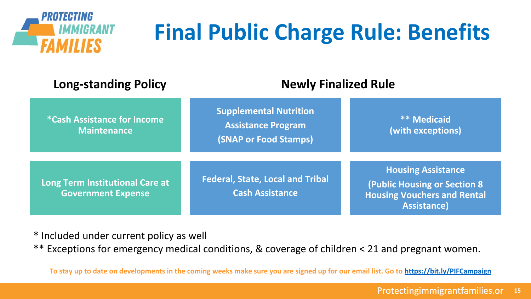

## **Final Public Charge Rule: Benefits**

| <b>Long-standing Policy</b>                                  | <b>Newly Finalized Rule</b>                                                                |                                                                                                                               |  |  |  |
|--------------------------------------------------------------|--------------------------------------------------------------------------------------------|-------------------------------------------------------------------------------------------------------------------------------|--|--|--|
| <i>*Cash Assistance for Income</i><br><b>Maintenance</b>     | <b>Supplemental Nutrition</b><br><b>Assistance Program</b><br><b>(SNAP or Food Stamps)</b> | <b>** Medicaid</b><br>(with exceptions)                                                                                       |  |  |  |
| Long Term Institutional Care at<br><b>Government Expense</b> | <b>Federal, State, Local and Tribal</b><br><b>Cash Assistance</b>                          | <b>Housing Assistance</b><br><b>(Public Housing or Section 8)</b><br><b>Housing Vouchers and Rental</b><br><b>Assistance)</b> |  |  |  |

\* Included under current policy as well

\*\* Exceptions for emergency medical conditions, & coverage of children < 21 and pregnant women.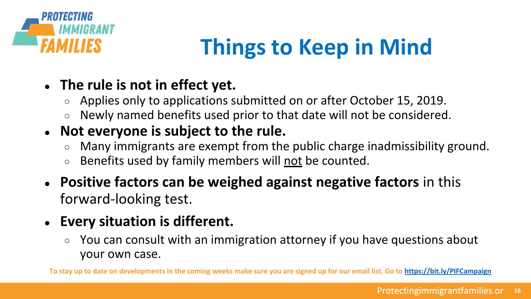

## **Things to Keep in Mind**

### **● The rule is not in effect yet.**

- Applies only to applications submitted on or after October 15, 2019.
- Newly named benefits used prior to that date will not be considered.

### **● Not everyone is subject to the rule.**

- Many immigrants are exempt from the public charge inadmissibility ground.
- Benefits used by family members will not be counted.
- **● Positive factors can be weighed against negative factors** in this forward-looking test.
- **● Every situation is different.** 
	- You can consult with an immigration attorney if you have questions about your own case.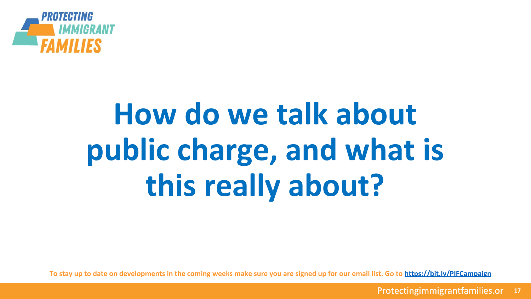

# **How do we talk about public charge, and what is this really about?**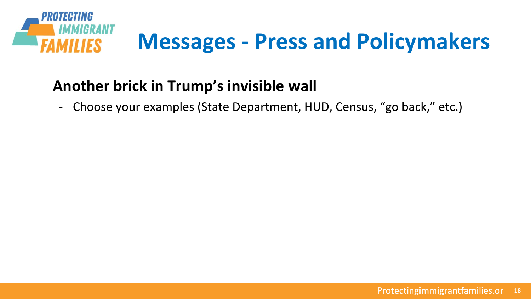

- Choose your examples (State Department, HUD, Census, "go back," etc.)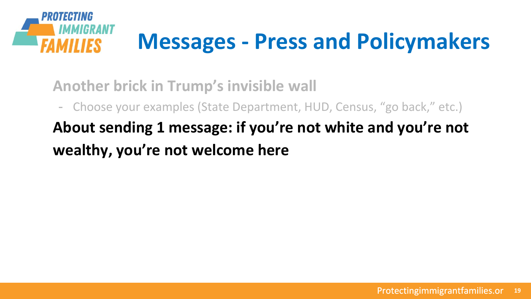

- Choose your examples (State Department, HUD, Census, "go back," etc.)

**About sending 1 message: if you're not white and you're not wealthy, you're not welcome here**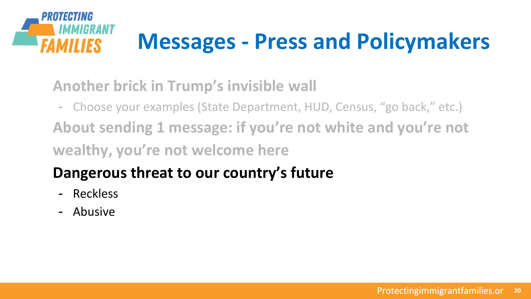

- Choose your examples (State Department, HUD, Census, "go back," etc.) **About sending 1 message: if you're not white and you're not wealthy, you're not welcome here**

### **Dangerous threat to our country's future**

- Reckless
- Abusive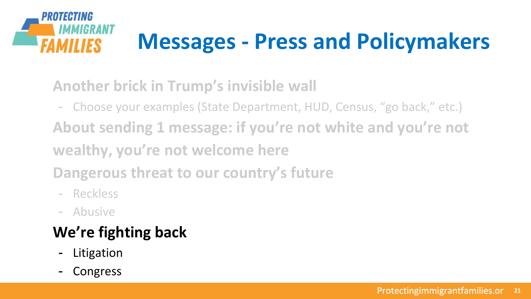

- Choose your examples (State Department, HUD, Census, "go back," etc.) **About sending 1 message: if you're not white and you're not wealthy, you're not welcome here**

**Dangerous threat to our country's future**

- Reckless
- Abusive

### **We're fighting back**

- Litigation
- **Congress**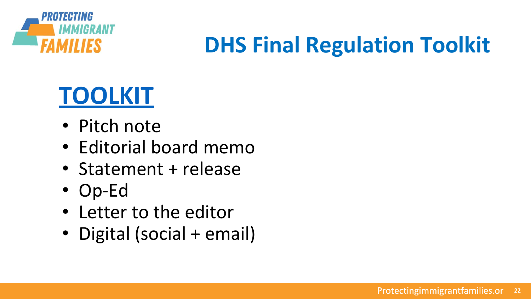

## **DHS Final Regulation Toolkit**

## **[TOOLKIT](https://drive.google.com/open?id=1zIewvCeQHsrjODcMZ8H9Y9NhgolR9pAz)**

- Pitch note
- Editorial board memo
- Statement + release
- Op-Ed
- Letter to the editor
- Digital (social + email)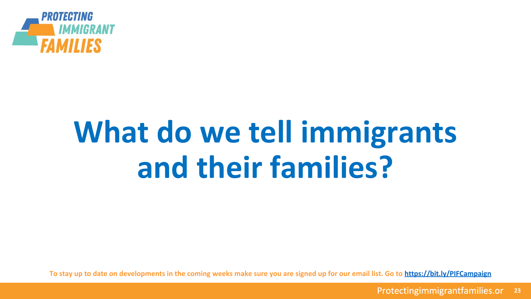

# **What do we tell immigrants and their families?**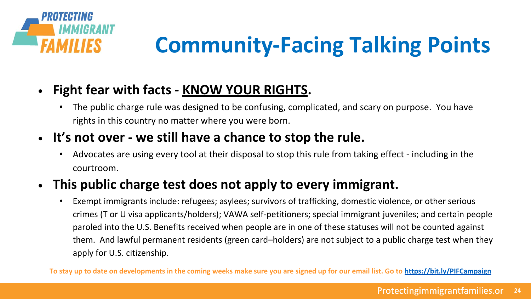

## **Community-Facing Talking Points**

### **• Fight fear with facts - KNOW YOUR RIGHTS.**

The public charge rule was designed to be confusing, complicated, and scary on purpose. You have rights in this country no matter where you were born.

### **• It's not over - we still have a chance to stop the rule.**

• Advocates are using every tool at their disposal to stop this rule from taking effect - including in the courtroom.

### **• This public charge test does not apply to every immigrant.**

• Exempt immigrants include: refugees; asylees; survivors of trafficking, domestic violence, or other serious crimes (T or U visa applicants/holders); VAWA self-petitioners; special immigrant juveniles; and certain people paroled into the U.S. Benefits received when people are in one of these statuses will not be counted against them. And lawful permanent residents (green card–holders) are not subject to a public charge test when they apply for U.S. citizenship.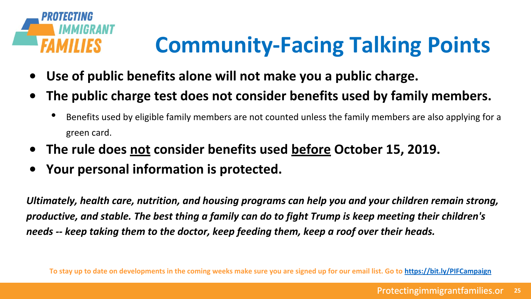

## **Community-Facing Talking Points**

- **• Use of public benefits alone will not make you a public charge.**
- **• The public charge test does not consider benefits used by family members.**
	- Benefits used by eligible family members are not counted unless the family members are also applying for a green card.
- **• The rule does not consider benefits used before October 15, 2019.**
- **• Your personal information is protected.**

*Ultimately, health care, nutrition, and housing programs can help you and your children remain strong, productive, and stable. The best thing a family can do to fight Trump is keep meeting their children's needs -- keep taking them to the doctor, keep feeding them, keep a roof over their heads.*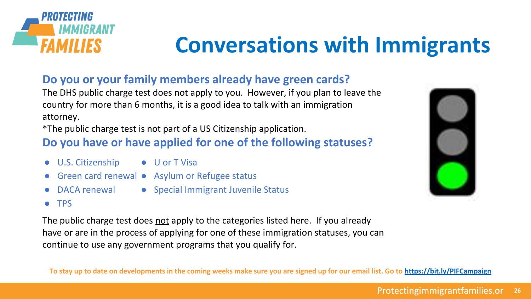

### **Conversations with Immigrants**

#### **Do you or your family members already have green cards?**

The DHS public charge test does not apply to you. However, if you plan to leave the country for more than 6 months, it is a good idea to talk with an immigration attorney.

\*The public charge test is not part of a US Citizenship application.

#### **Do you have or have applied for one of the following statuses?**

- U.S. Citizenship
	- U or T Visa
- Green card renewal Asylum or Refugee status
- DACA renewal
- Special Immigrant Juvenile Status

● TPS

The public charge test does not apply to the categories listed here. If you already have or are in the process of applying for one of these immigration statuses, you can continue to use any government programs that you qualify for.



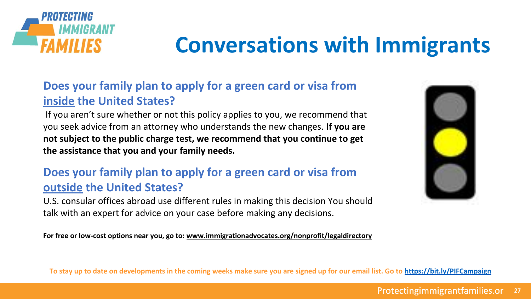

## **Conversations with Immigrants**

#### **Does your family plan to apply for a green card or visa from inside the United States?**

 If you aren't sure whether or not this policy applies to you, we recommend that you seek advice from an attorney who understands the new changes. **If you are not subject to the public charge test, we recommend that you continue to get the assistance that you and your family needs.**

#### **Does your family plan to apply for a green card or visa from outside the United States?**

U.S. consular offices abroad use different rules in making this decision You should talk with an expert for advice on your case before making any decisions.

**For free or low-cost options near you, go to: [www.immigrationadvocates.org/nonprofit/legaldirectory](http://www.immigrationadvocates.org/nonprofit/legaldirectory)**

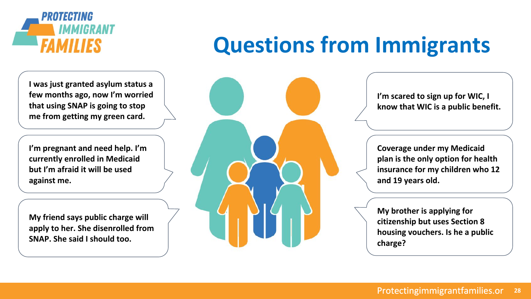

#### **I was just granted asylum status a few months ago, now I'm worried that using SNAP is going to stop me from getting my green card.**

**I'm pregnant and need help. I'm currently enrolled in Medicaid but I'm afraid it will be used against me.**

**My friend says public charge will apply to her. She disenrolled from SNAP. She said I should too.**

## **Questions from Immigrants**



**I'm scared to sign up for WIC, I know that WIC is a public benefit.**

**Coverage under my Medicaid plan is the only option for health insurance for my children who 12 and 19 years old.** 

**My brother is applying for citizenship but uses Section 8 housing vouchers. Is he a public charge?**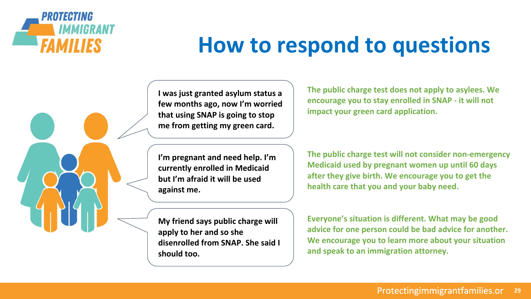

### **How to respond to questions**

**I was just granted asylum status a few months ago, now I'm worried that using SNAP is going to stop me from getting my green card.**

**I'm pregnant and need help. I'm currently enrolled in Medicaid but I'm afraid it will be used against me.**

**My friend says public charge will apply to her and so she disenrolled from SNAP. She said I should too.**

**The public charge test does not apply to asylees. We encourage you to stay enrolled in SNAP - it will not impact your green card application.**

**The public charge test will not consider non-emergency Medicaid used by pregnant women up until 60 days after they give birth. We encourage you to get the health care that you and your baby need.**

**Everyone's situation is different. What may be good advice for one person could be bad advice for another. We encourage you to learn more about your situation and speak to an immigration attorney.**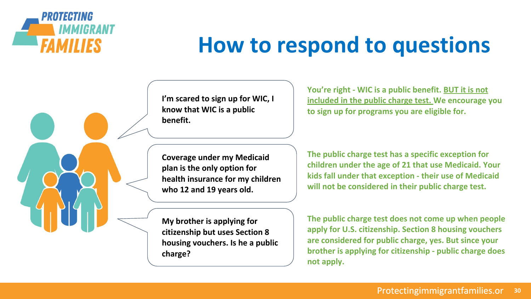

### **How to respond to questions**

**I'm scared to sign up for WIC, I know that WIC is a public benefit.**

**You're right - WIC is a public benefit. BUT it is not included in the public charge test. We encourage you to sign up for programs you are eligible for.** 

**Coverage under my Medicaid plan is the only option for health insurance for my children who 12 and 19 years old.** 

**My brother is applying for citizenship but uses Section 8 housing vouchers. Is he a public charge?**

**The public charge test has a specific exception for children under the age of 21 that use Medicaid. Your kids fall under that exception - their use of Medicaid will not be considered in their public charge test.**

**The public charge test does not come up when people apply for U.S. citizenship. Section 8 housing vouchers are considered for public charge, yes. But since your brother is applying for citizenship - public charge does not apply.**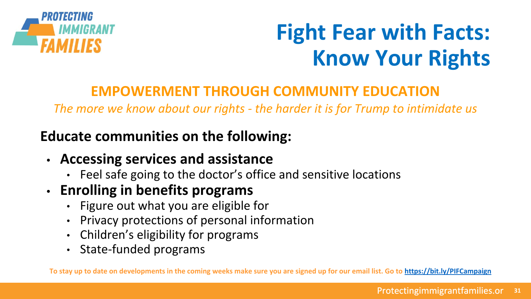

## **Fight Fear with Facts: Know Your Rights**

### **EMPOWERMENT THROUGH COMMUNITY EDUCATION**

*The more we know about our rights - the harder it is for Trump to intimidate us*

### **Educate communities on the following:**

- **• Accessing services and assistance** 
	- Feel safe going to the doctor's office and sensitive locations
- **• Enrolling in benefits programs**
	- Figure out what you are eligible for
	- Privacy protections of personal information
	- Children's eligibility for programs
	- State-funded programs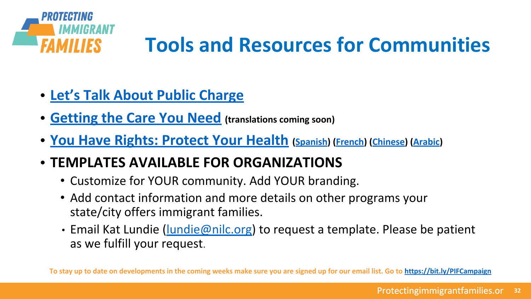

- **• [Let's Talk About Public Charge](https://protectingimmigrantfamilies.org/wp-content/uploads/2019/08/Lets-Talk-About-Public-Charge-Updated-August-2019.pdf)**
- **• [Getting the Care You Need](https://protectingimmigrantfamilies.org/wp-content/uploads/2019/08/Getting-the-Help-You-Need-Updated-August-2019.pdf) (translations coming soon)**
- **• [You Have Rights: Protect Your Health](https://protectingimmigrantfamilies.org/wp-content/uploads/2019/07/You-Have-Rights-Protect-Your-Health.pdf) [\(Spanish](https://protectingimmigrantfamilies.org/wp-content/uploads/2019/08/You-Have-Rights-Protect-Your-Health-Spanish.pdf)) [\(French](https://protectingimmigrantfamilies.org/wp-content/uploads/2019/08/You-Have-Rights-Protect-Your-Health-French.pdf)) [\(Chinese\)](https://protectingimmigrantfamilies.org/wp-content/uploads/2019/08/You-Have-Rights-Protect-Your-Health-Chinese.pdf) [\(Arabic\)](https://protectingimmigrantfamilies.org/wp-content/uploads/2019/08/You-Have-Rights-Protect-Your-Health-Arabic.pdf)**
- **• TEMPLATES AVAILABLE FOR ORGANIZATIONS**
	- Customize for YOUR community. Add YOUR branding.
	- Add contact information and more details on other programs your state/city offers immigrant families.
	- Email Kat Lundie (*[lundie@nilc.org](mailto:lundie@nilc.org)*) to request a template. Please be patient as we fulfill your request.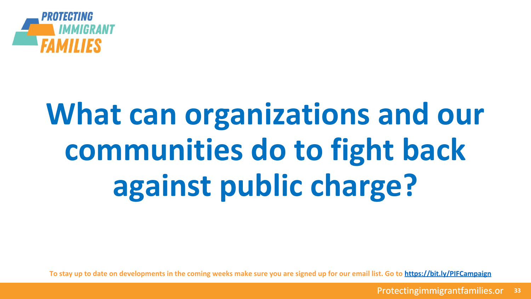

# **What can organizations and our communities do to fight back against public charge?**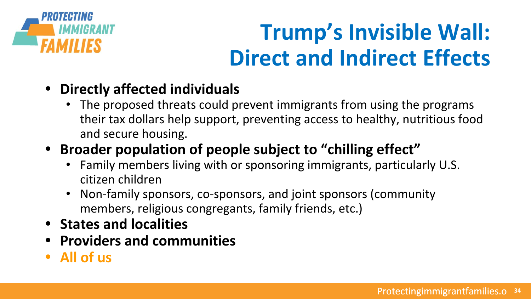

## **Trump's Invisible Wall: Direct and Indirect Effects**

- **• Directly affected individuals**
	- The proposed threats could prevent immigrants from using the programs their tax dollars help support, preventing access to healthy, nutritious food and secure housing.
- **• Broader population of people subject to "chilling effect"**
	- Family members living with or sponsoring immigrants, particularly U.S. citizen children
	- Non-family sponsors, co-sponsors, and joint sponsors (community members, religious congregants, family friends, etc.)
- **• States and localities**
- **• Providers and communities**
- **• All of us**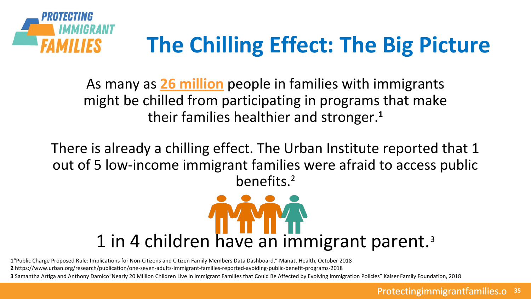

As many as **26 million** people in families with immigrants might be chilled from participating in programs that make their families healthier and stronger.**<sup>1</sup>**

There is already a chilling effect. The Urban Institute reported that 1 out of 5 low-income immigrant families were afraid to access public benefits.<sup>2</sup>



**1**"Public Charge Proposed Rule: Implications for Non-Citizens and Citizen Family Members Data Dashboard," Manatt Health, October 2018

**2** https://www.urban.org/research/publication/one-seven-adults-immigrant-families-reported-avoiding-public-benefit-programs-2018

**3** Samantha Artiga and Anthony Damico"Nearly 20 Million Children Live in Immigrant Families that Could Be Affected by Evolving Immigration Policies" Kaiser Family Foundation, 2018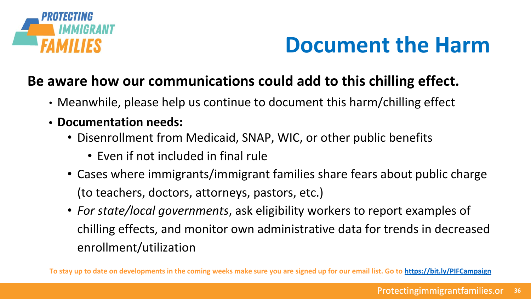

### **Document the Harm**

### **Be aware how our communications could add to this chilling effect.**

- Meanwhile, please help us continue to document this harm/chilling effect
- **• Documentation needs:**
	- Disenrollment from Medicaid, SNAP, WIC, or other public benefits
		- Even if not included in final rule
	- Cases where immigrants/immigrant families share fears about public charge (to teachers, doctors, attorneys, pastors, etc.)
	- *For state/local governments*, ask eligibility workers to report examples of chilling effects, and monitor own administrative data for trends in decreased enrollment/utilization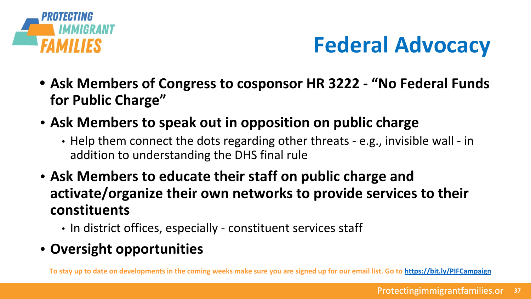

## **Federal Advocacy**

- **• Ask Members of Congress to cosponsor HR 3222 "No Federal Funds for Public Charge"**
- **• Ask Members to speak out in opposition on public charge**
	- Help them connect the dots regarding other threats e.g., invisible wall in addition to understanding the DHS final rule
- **• Ask Members to educate their staff on public charge and activate/organize their own networks to provide services to their constituents**
	- In district offices, especially constituent services staff
- **• Oversight opportunities**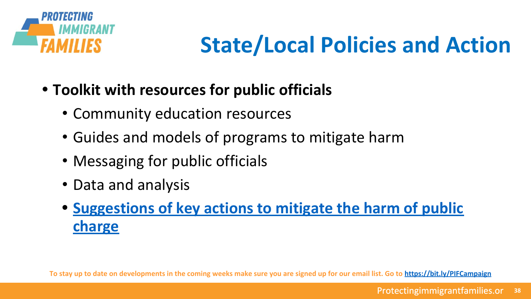

## **State/Local Policies and Action**

- **• Toolkit with resources for public officials**
	- Community education resources
	- Guides and models of programs to mitigate harm
	- Messaging for public officials
	- Data and analysis
	- **• [Suggestions of key actions to mitigate the harm of public](https://docs.google.com/document/d/1GgpVdKKzSEwxiaw23qQDo9GAt1Ets6Q0IXwEyZNvC8A/edit) [charge](https://docs.google.com/document/d/1GgpVdKKzSEwxiaw23qQDo9GAt1Ets6Q0IXwEyZNvC8A/edit)**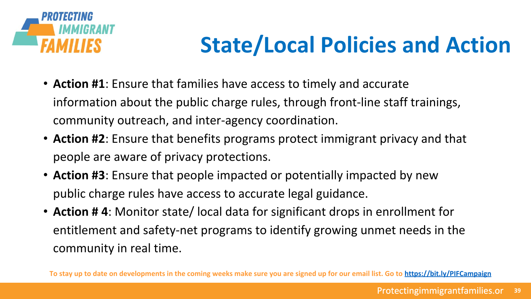

## **State/Local Policies and Action**

- **Action #1**: Ensure that families have access to timely and accurate information about the public charge rules, through front-line staff trainings, community outreach, and inter-agency coordination.
- **Action #2**: Ensure that benefits programs protect immigrant privacy and that people are aware of privacy protections.
- **Action #3**: Ensure that people impacted or potentially impacted by new public charge rules have access to accurate legal guidance.
- **Action # 4**: Monitor state/ local data for significant drops in enrollment for entitlement and safety-net programs to identify growing unmet needs in the community in real time.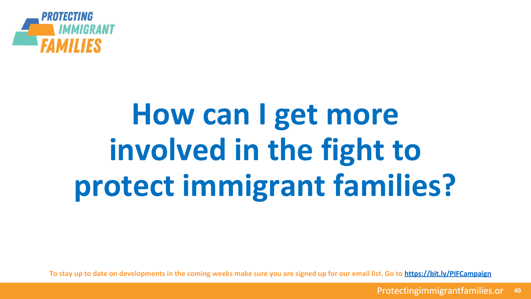

# **How can I get more involved in the fight to protect immigrant families?**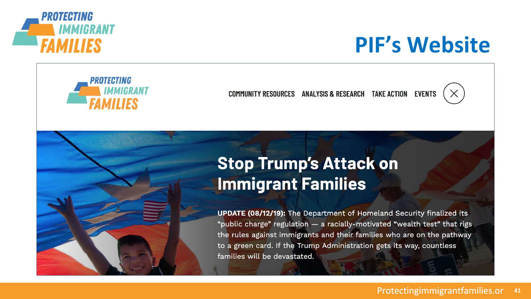

### **PIF's Website**



COMMUNITY RESOURCES ANALYSIS & RESEARCH TAKE ACTION EVENTS



### **Stop Trump's Attack on Immigrant Families**

**To stay up to date on developments in the coming weeks make sure you are signed up for our email list. Go to <https://bit.ly/PIFCampaign>**

**UPDATE (08/12/19):** The Department of Homeland Security finalized its "public charge" regulation - a racially-motivated "wealth test" that rigs the rules against immigrants and their families who are on the pathway to a green card. If the Trump Administration gets its way, countless families will be devastated.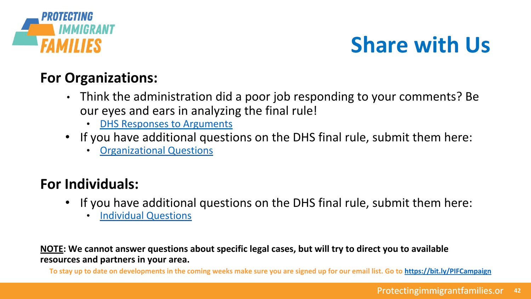

### **Share with Us**

### **For Organizations:**

- Think the administration did a poor job responding to your comments? Be our eyes and ears in analyzing the final rule!
	- **[DHS Responses to Arguments](https://docs.google.com/forms/d/e/1FAIpQLSfUUHxyz5htDOskR9TE_aF8ivXYiOyGhOa6-6gYr4OkKrHgxw/viewform)**
- If you have additional questions on the DHS final rule, submit them here:
	- [Organizational Questions](https://docs.google.com/forms/d/e/1FAIpQLSc12-q5LTNtSkwuHL4J5r7XLPxNdUDiRSD6gosebAn1VbuRrg/viewform)

### **For Individuals:**

- If you have additional questions on the DHS final rule, submit them here:
	- [Individual Questions](https://docs.google.com/forms/d/e/1FAIpQLSepgIjCjtlQEL3HTBLcuvBwhh3IDafnInBGAMHStEQPTjNdIg/viewform)

**NOTE: We cannot answer questions about specific legal cases, but will try to direct you to available resources and partners in your area.**